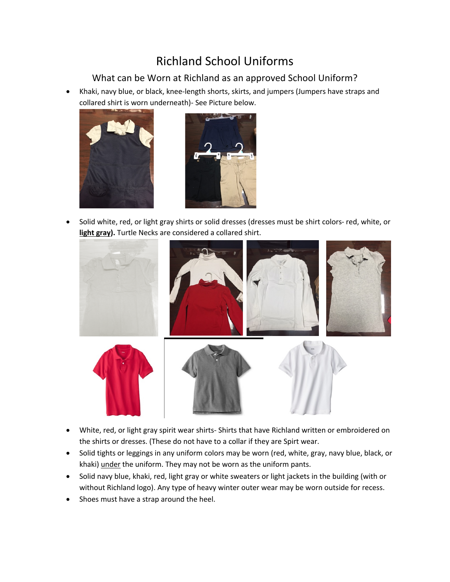## Richland School Uniforms

## What can be Worn at Richland as an approved School Uniform?

• Khaki, navy blue, or black, knee-length shorts, skirts, and jumpers (Jumpers have straps and collared shirt is worn underneath)- See Picture below.





• Solid white, red, or light gray shirts or solid dresses (dresses must be shirt colors- red, white, or **light gray).** Turtle Necks are considered a collared shirt.



- White, red, or light gray spirit wear shirts- Shirts that have Richland written or embroidered on the shirts or dresses. (These do not have to a collar if they are Spirt wear.
- Solid tights or leggings in any uniform colors may be worn (red, white, gray, navy blue, black, or khaki) under the uniform. They may not be worn as the uniform pants.
- Solid navy blue, khaki, red, light gray or white sweaters or light jackets in the building (with or without Richland logo). Any type of heavy winter outer wear may be worn outside for recess.
- Shoes must have a strap around the heel.